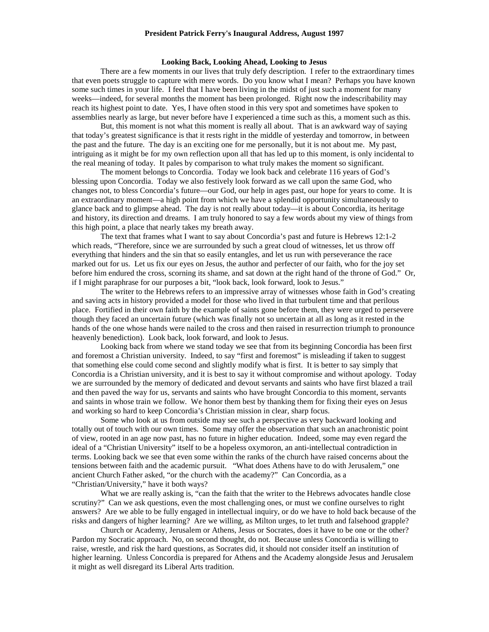# **Looking Back, Looking Ahead, Looking to Jesus**

There are a few moments in our lives that truly defy description. I refer to the extraordinary times that even poets struggle to capture with mere words. Do you know what I mean? Perhaps you have known some such times in your life. I feel that I have been living in the midst of just such a moment for many weeks—indeed, for several months the moment has been prolonged. Right now the indescribability may reach its highest point to date. Yes, I have often stood in this very spot and sometimes have spoken to assemblies nearly as large, but never before have I experienced a time such as this, a moment such as this.

But, this moment is not what this moment is really all about. That is an awkward way of saying that today's greatest significance is that it rests right in the middle of yesterday and tomorrow, in between the past and the future. The day is an exciting one for me personally, but it is not about me. My past, intriguing as it might be for my own reflection upon all that has led up to this moment, is only incidental to the real meaning of today. It pales by comparison to what truly makes the moment so significant.

The moment belongs to Concordia. Today we look back and celebrate 116 years of God's blessing upon Concordia. Today we also festively look forward as we call upon the same God, who changes not, to bless Concordia's future—our God, our help in ages past, our hope for years to come. It is an extraordinary moment—a high point from which we have a splendid opportunity simultaneously to glance back and to glimpse ahead. The day is not really about today—it is about Concordia, its heritage and history, its direction and dreams. I am truly honored to say a few words about my view of things from this high point, a place that nearly takes my breath away.

The text that frames what I want to say about Concordia's past and future is Hebrews 12:1-2 which reads, "Therefore, since we are surrounded by such a great cloud of witnesses, let us throw off everything that hinders and the sin that so easily entangles, and let us run with perseverance the race marked out for us. Let us fix our eyes on Jesus, the author and perfecter of our faith, who for the joy set before him endured the cross, scorning its shame, and sat down at the right hand of the throne of God." Or, if I might paraphrase for our purposes a bit, "look back, look forward, look to Jesus."

The writer to the Hebrews refers to an impressive array of witnesses whose faith in God's creating and saving acts in history provided a model for those who lived in that turbulent time and that perilous place. Fortified in their own faith by the example of saints gone before them, they were urged to persevere though they faced an uncertain future (which was finally not so uncertain at all as long as it rested in the hands of the one whose hands were nailed to the cross and then raised in resurrection triumph to pronounce heavenly benediction). Look back, look forward, and look to Jesus.

Looking back from where we stand today we see that from its beginning Concordia has been first and foremost a Christian university. Indeed, to say "first and foremost" is misleading if taken to suggest that something else could come second and slightly modify what is first. It is better to say simply that Concordia is a Christian university, and it is best to say it without compromise and without apology. Today we are surrounded by the memory of dedicated and devout servants and saints who have first blazed a trail and then paved the way for us, servants and saints who have brought Concordia to this moment, servants and saints in whose train we follow. We honor them best by thanking them for fixing their eyes on Jesus and working so hard to keep Concordia's Christian mission in clear, sharp focus.

Some who look at us from outside may see such a perspective as very backward looking and totally out of touch with our own times. Some may offer the observation that such an anachronistic point of view, rooted in an age now past, has no future in higher education. Indeed, some may even regard the ideal of a "Christian University" itself to be a hopeless oxymoron, an anti-intellectual contradiction in terms. Looking back we see that even some within the ranks of the church have raised concerns about the tensions between faith and the academic pursuit. "What does Athens have to do with Jerusalem," one ancient Church Father asked, "or the church with the academy?" Can Concordia, as a "Christian/University," have it both ways?

What we are really asking is, "can the faith that the writer to the Hebrews advocates handle close scrutiny?" Can we ask questions, even the most challenging ones, or must we confine ourselves to right answers? Are we able to be fully engaged in intellectual inquiry, or do we have to hold back because of the risks and dangers of higher learning? Are we willing, as Milton urges, to let truth and falsehood grapple?

Church or Academy, Jerusalem or Athens, Jesus or Socrates, does it have to be one or the other? Pardon my Socratic approach. No, on second thought, do not. Because unless Concordia is willing to raise, wrestle, and risk the hard questions, as Socrates did, it should not consider itself an institution of higher learning. Unless Concordia is prepared for Athens and the Academy alongside Jesus and Jerusalem it might as well disregard its Liberal Arts tradition.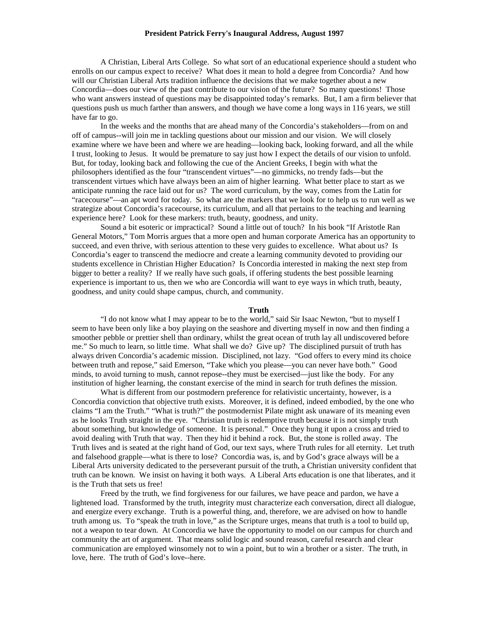A Christian, Liberal Arts College. So what sort of an educational experience should a student who enrolls on our campus expect to receive? What does it mean to hold a degree from Concordia? And how will our Christian Liberal Arts tradition influence the decisions that we make together about a new Concordia—does our view of the past contribute to our vision of the future? So many questions! Those who want answers instead of questions may be disappointed today's remarks. But, I am a firm believer that questions push us much farther than answers, and though we have come a long ways in 116 years, we still have far to go.

In the weeks and the months that are ahead many of the Concordia's stakeholders—from on and off of campus--will join me in tackling questions about our mission and our vision. We will closely examine where we have been and where we are heading—looking back, looking forward, and all the while I trust, looking to Jesus. It would be premature to say just how I expect the details of our vision to unfold. But, for today, looking back and following the cue of the Ancient Greeks, I begin with what the philosophers identified as the four "transcendent virtues"—no gimmicks, no trendy fads—but the transcendent virtues which have always been an aim of higher learning. What better place to start as we anticipate running the race laid out for us? The word curriculum, by the way, comes from the Latin for "racecourse"—an apt word for today. So what are the markers that we look for to help us to run well as we strategize about Concordia's racecourse, its curriculum, and all that pertains to the teaching and learning experience here? Look for these markers: truth, beauty, goodness, and unity.

Sound a bit esoteric or impractical? Sound a little out of touch? In his book "If Aristotle Ran General Motors," Tom Morris argues that a more open and human corporate America has an opportunity to succeed, and even thrive, with serious attention to these very guides to excellence. What about us? Is Concordia's eager to transcend the mediocre and create a learning community devoted to providing our students excellence in Christian Higher Education? Is Concordia interested in making the next step from bigger to better a reality? If we really have such goals, if offering students the best possible learning experience is important to us, then we who are Concordia will want to eye ways in which truth, beauty, goodness, and unity could shape campus, church, and community.

# **Truth**

"I do not know what I may appear to be to the world," said Sir Isaac Newton, "but to myself I seem to have been only like a boy playing on the seashore and diverting myself in now and then finding a smoother pebble or prettier shell than ordinary, whilst the great ocean of truth lay all undiscovered before me." So much to learn, so little time. What shall we do? Give up? The disciplined pursuit of truth has always driven Concordia's academic mission. Disciplined, not lazy. "God offers to every mind its choice between truth and repose," said Emerson, "Take which you please—you can never have both." Good minds, to avoid turning to mush, cannot repose--they must be exercised—just like the body. For any institution of higher learning, the constant exercise of the mind in search for truth defines the mission.

What is different from our postmodern preference for relativistic uncertainty, however, is a Concordia conviction that objective truth exists. Moreover, it is defined, indeed embodied, by the one who claims "I am the Truth." "What is truth?" the postmodernist Pilate might ask unaware of its meaning even as he looks Truth straight in the eye. "Christian truth is redemptive truth because it is not simply truth about something, but knowledge of someone. It is personal." Once they hung it upon a cross and tried to avoid dealing with Truth that way. Then they hid it behind a rock. But, the stone is rolled away. The Truth lives and is seated at the right hand of God, our text says, where Truth rules for all eternity. Let truth and falsehood grapple—what is there to lose? Concordia was, is, and by God's grace always will be a Liberal Arts university dedicated to the perseverant pursuit of the truth, a Christian university confident that truth can be known. We insist on having it both ways. A Liberal Arts education is one that liberates, and it is the Truth that sets us free!

Freed by the truth, we find forgiveness for our failures, we have peace and pardon, we have a lightened load. Transformed by the truth, integrity must characterize each conversation, direct all dialogue, and energize every exchange. Truth is a powerful thing, and, therefore, we are advised on how to handle truth among us. To "speak the truth in love," as the Scripture urges, means that truth is a tool to build up, not a weapon to tear down. At Concordia we have the opportunity to model on our campus for church and community the art of argument. That means solid logic and sound reason, careful research and clear communication are employed winsomely not to win a point, but to win a brother or a sister. The truth, in love, here. The truth of God's love--here.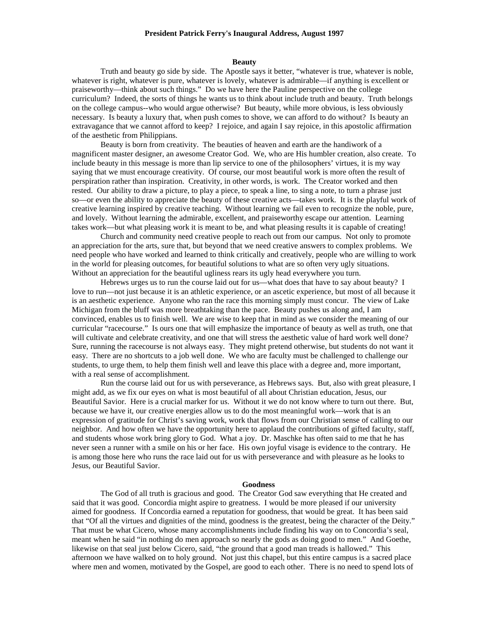# **Beauty**

 Truth and beauty go side by side. The Apostle says it better, "whatever is true, whatever is noble, whatever is right, whatever is pure, whatever is lovely, whatever is admirable—if anything is excellent or praiseworthy—think about such things." Do we have here the Pauline perspective on the college curriculum? Indeed, the sorts of things he wants us to think about include truth and beauty. Truth belongs on the college campus--who would argue otherwise? But beauty, while more obvious, is less obviously necessary. Is beauty a luxury that, when push comes to shove, we can afford to do without? Is beauty an extravagance that we cannot afford to keep? I rejoice, and again I say rejoice, in this apostolic affirmation of the aesthetic from Philippians.

Beauty is born from creativity. The beauties of heaven and earth are the handiwork of a magnificent master designer, an awesome Creator God. We, who are His humbler creation, also create. To include beauty in this message is more than lip service to one of the philosophers' virtues, it is my way saying that we must encourage creativity. Of course, our most beautiful work is more often the result of perspiration rather than inspiration. Creativity, in other words, is work. The Creator worked and then rested. Our ability to draw a picture, to play a piece, to speak a line, to sing a note, to turn a phrase just so—or even the ability to appreciate the beauty of these creative acts—takes work. It is the playful work of creative learning inspired by creative teaching. Without learning we fail even to recognize the noble, pure, and lovely. Without learning the admirable, excellent, and praiseworthy escape our attention. Learning takes work—but what pleasing work it is meant to be, and what pleasing results it is capable of creating!

Church and community need creative people to reach out from our campus. Not only to promote an appreciation for the arts, sure that, but beyond that we need creative answers to complex problems. We need people who have worked and learned to think critically and creatively, people who are willing to work in the world for pleasing outcomes, for beautiful solutions to what are so often very ugly situations. Without an appreciation for the beautiful ugliness rears its ugly head everywhere you turn.

Hebrews urges us to run the course laid out for us—what does that have to say about beauty? I love to run—not just because it is an athletic experience, or an ascetic experience, but most of all because it is an aesthetic experience. Anyone who ran the race this morning simply must concur. The view of Lake Michigan from the bluff was more breathtaking than the pace. Beauty pushes us along and, I am convinced, enables us to finish well. We are wise to keep that in mind as we consider the meaning of our curricular "racecourse." Is ours one that will emphasize the importance of beauty as well as truth, one that will cultivate and celebrate creativity, and one that will stress the aesthetic value of hard work well done? Sure, running the racecourse is not always easy. They might pretend otherwise, but students do not want it easy. There are no shortcuts to a job well done. We who are faculty must be challenged to challenge our students, to urge them, to help them finish well and leave this place with a degree and, more important, with a real sense of accomplishment.

Run the course laid out for us with perseverance, as Hebrews says. But, also with great pleasure, I might add, as we fix our eyes on what is most beautiful of all about Christian education, Jesus, our Beautiful Savior. Here is a crucial marker for us. Without it we do not know where to turn out there. But, because we have it, our creative energies allow us to do the most meaningful work—work that is an expression of gratitude for Christ's saving work, work that flows from our Christian sense of calling to our neighbor. And how often we have the opportunity here to applaud the contributions of gifted faculty, staff, and students whose work bring glory to God. What a joy. Dr. Maschke has often said to me that he has never seen a runner with a smile on his or her face. His own joyful visage is evidence to the contrary. He is among those here who runs the race laid out for us with perseverance and with pleasure as he looks to Jesus, our Beautiful Savior.

#### **Goodness**

The God of all truth is gracious and good. The Creator God saw everything that He created and said that it was good. Concordia might aspire to greatness. I would be more pleased if our university aimed for goodness. If Concordia earned a reputation for goodness, that would be great. It has been said that "Of all the virtues and dignities of the mind, goodness is the greatest, being the character of the Deity." That must be what Cicero, whose many accomplishments include finding his way on to Concordia's seal, meant when he said "in nothing do men approach so nearly the gods as doing good to men." And Goethe, likewise on that seal just below Cicero, said, "the ground that a good man treads is hallowed." This afternoon we have walked on to holy ground. Not just this chapel, but this entire campus is a sacred place where men and women, motivated by the Gospel, are good to each other. There is no need to spend lots of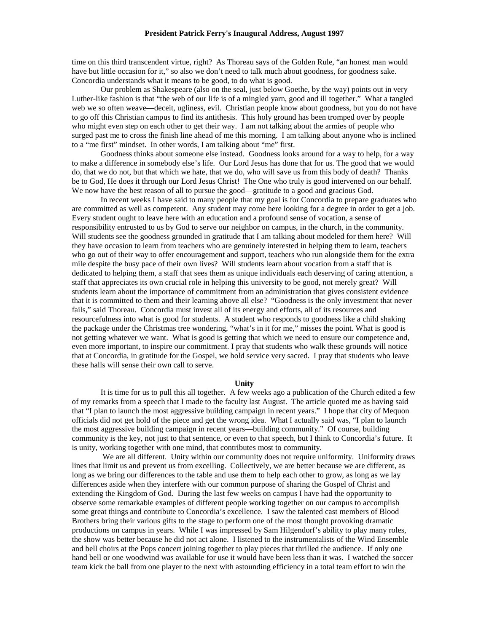time on this third transcendent virtue, right? As Thoreau says of the Golden Rule, "an honest man would have but little occasion for it," so also we don't need to talk much about goodness, for goodness sake. Concordia understands what it means to be good, to do what is good.

Our problem as Shakespeare (also on the seal, just below Goethe, by the way) points out in very Luther-like fashion is that "the web of our life is of a mingled yarn, good and ill together." What a tangled web we so often weave—deceit, ugliness, evil. Christian people know about goodness, but you do not have to go off this Christian campus to find its antithesis. This holy ground has been tromped over by people who might even step on each other to get their way. I am not talking about the armies of people who surged past me to cross the finish line ahead of me this morning. I am talking about anyone who is inclined to a "me first" mindset. In other words, I am talking about "me" first.

Goodness thinks about someone else instead. Goodness looks around for a way to help, for a way to make a difference in somebody else's life. Our Lord Jesus has done that for us. The good that we would do, that we do not, but that which we hate, that we do, who will save us from this body of death? Thanks be to God, He does it through our Lord Jesus Christ! The One who truly is good intervened on our behalf. We now have the best reason of all to pursue the good—gratitude to a good and gracious God.

In recent weeks I have said to many people that my goal is for Concordia to prepare graduates who are committed as well as competent. Any student may come here looking for a degree in order to get a job. Every student ought to leave here with an education and a profound sense of vocation, a sense of responsibility entrusted to us by God to serve our neighbor on campus, in the church, in the community. Will students see the goodness grounded in gratitude that I am talking about modeled for them here? Will they have occasion to learn from teachers who are genuinely interested in helping them to learn, teachers who go out of their way to offer encouragement and support, teachers who run alongside them for the extra mile despite the busy pace of their own lives? Will students learn about vocation from a staff that is dedicated to helping them, a staff that sees them as unique individuals each deserving of caring attention, a staff that appreciates its own crucial role in helping this university to be good, not merely great? Will students learn about the importance of commitment from an administration that gives consistent evidence that it is committed to them and their learning above all else? "Goodness is the only investment that never fails," said Thoreau. Concordia must invest all of its energy and efforts, all of its resources and resourcefulness into what is good for students. A student who responds to goodness like a child shaking the package under the Christmas tree wondering, "what's in it for me," misses the point. What is good is not getting whatever we want. What is good is getting that which we need to ensure our competence and, even more important, to inspire our commitment. I pray that students who walk these grounds will notice that at Concordia, in gratitude for the Gospel, we hold service very sacred. I pray that students who leave these halls will sense their own call to serve.

# **Unity**

It is time for us to pull this all together. A few weeks ago a publication of the Church edited a few of my remarks from a speech that I made to the faculty last August. The article quoted me as having said that "I plan to launch the most aggressive building campaign in recent years." I hope that city of Mequon officials did not get hold of the piece and get the wrong idea. What I actually said was, "I plan to launch the most aggressive building campaign in recent years—building community." Of course, building community is the key, not just to that sentence, or even to that speech, but I think to Concordia's future. It is unity, working together with one mind, that contributes most to community.

We are all different. Unity within our community does not require uniformity. Uniformity draws lines that limit us and prevent us from excelling. Collectively, we are better because we are different, as long as we bring our differences to the table and use them to help each other to grow, as long as we lay differences aside when they interfere with our common purpose of sharing the Gospel of Christ and extending the Kingdom of God. During the last few weeks on campus I have had the opportunity to observe some remarkable examples of different people working together on our campus to accomplish some great things and contribute to Concordia's excellence. I saw the talented cast members of Blood Brothers bring their various gifts to the stage to perform one of the most thought provoking dramatic productions on campus in years. While I was impressed by Sam Hilgendorf's ability to play many roles, the show was better because he did not act alone. I listened to the instrumentalists of the Wind Ensemble and bell choirs at the Pops concert joining together to play pieces that thrilled the audience. If only one hand bell or one woodwind was available for use it would have been less than it was. I watched the soccer team kick the ball from one player to the next with astounding efficiency in a total team effort to win the